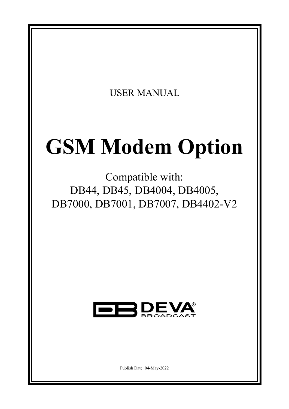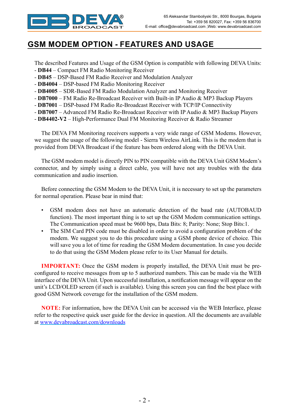

## **GSM MODEM OPTION - FEATURES AND USAGE**

The described Features and Usage of the GSM Option is compatible with following DEVA Units:

- **DB44** Compact FM Radio Monitoring Receiver
- **DB45** DSP-Based FM Radio Receiver and Modulation Analyzer
- **DB4004** DSP-based FM Radio Monitoring Receiver
- **DB4005** SDR-Based FM Radio Modulation Analyzer and Monitoring Receiver
- **DB7000** FM Radio Re-Broadcast Receiver with Built-in IP Audio & MP3 Backup Players
- **DB7001** DSP-based FM Radio Re-Broadcast Receiver with TCP/IP Connectivity
- **DB7007** Advanced FM Radio Re-Broadcast Receiver with IP Audio & MP3 Backup Players
- **DB4402-V2** High-Performance Dual FM Monitoring Receiver & Radio Streamer

The DEVA FM Monitoring receivers supports a very wide range of GSM Modems. However, we suggest the usage of the following model - Sierra Wireless AirLink. This is the modem that is provided from DEVA Broadcast if the feature has been ordered along with the DEVA Unit.

The GSM modem model is directly PIN to PIN compatible with the DEVA Unit GSM Modem's connector, and by simply using a direct cable, you will have not any troubles with the data communication and audio insertion.

Before connecting the GSM Modem to the DEVA Unit, it is necessary to set up the parameters for normal operation. Please bear in mind that:

- GSM modem does not have an automatic detection of the baud rate (AUTOBAUD function). The most important thing is to set up the GSM Modem communication settings. The Communication speed must be 9600 bps, Data Bits: 8; Parity: None; Stop Bits:1.
- The SIM Card PIN code must be disabled in order to avoid a configuration problem of the modem. We suggest you to do this procedure using a GSM phone device of choice. This will save you a lot of time for reading the GSM Modem documentation. In case you decide to do that using the GSM Modem please refer to its User Manual for details.

**IMPORTANT:** Once the GSM modem is properly installed, the DEVA Unit must be preconfigured to receive messages from up to 5 authorized numbers. This can be made via the WEB interface of the DEVA Unit. Upon successful installation, a notification message will appear on the unit's LCD/OLED screen (if such is available). Using this screen you can find the best place with good GSM Network coverage for the installation of the GSM modem.

**NOTE:** For information, how the DEVA Unit can be accessed via the WEB Interface, please refer to the respective quick user guide for the device in question. All the documents are available at www.devabroadcast.com/downloads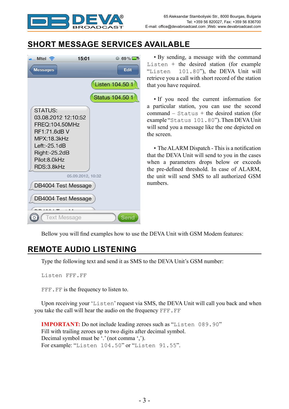

# **SHORT MESSAGE SERVICES AVAILABLE**

| $\blacksquare$ Mtel $\widehat{\mathcal{P}}$<br>15:01                                                                                                            | $69\%$          |  |  |  |
|-----------------------------------------------------------------------------------------------------------------------------------------------------------------|-----------------|--|--|--|
| <b>Messages</b>                                                                                                                                                 | <b>Edit</b>     |  |  |  |
|                                                                                                                                                                 | Listen 104.50 1 |  |  |  |
|                                                                                                                                                                 | Status 104.50 1 |  |  |  |
| <b>STATUS:</b><br>03.08.2012 12:10:52<br>FREQ:104.50MHz<br>RF1:71.6dB V<br><b>MPX:18.3kHz</b><br>$Left: -25.1dB$<br>Right:-25.2dB<br>Pilot:8.0kHz<br>RDS:3.8kHz |                 |  |  |  |
| 05.09.2012, 10:32                                                                                                                                               |                 |  |  |  |
| DB4004 Test Message                                                                                                                                             |                 |  |  |  |
| DB4004 Test Message                                                                                                                                             |                 |  |  |  |
| <b>Text Message</b><br><b>Send</b>                                                                                                                              |                 |  |  |  |

• By sending, a message with the command Listen + the desired station (for example "Listen  $101.80$ "), the DEVA Unit will 101.80"), the DEVA Unit will retrieve you a call with short record of the station that you have required.

• If you need the current information for a particular station, you can use the second  $command - Status + the desired station (for$ example "Status 101.80"). Then DEVA Unit will send you a message like the one depicted on the screen.

• The ALARM Dispatch - This is a notification that the DEVA Unit will send to you in the cases when a parameters drops below or exceeds the pre-defined threshold. In case of ALARM, the unit will send SMS to all authorized GSM numbers.

Bellow you will find examples how to use the DEVA Unit with GSM Modem features:

#### **REMOTE AUDIO LISTENING**

Type the following text and send it as SMS to the DEVA Unit's GSM number:

Listen FFF.FF

FFF. FF is the frequency to listen to.

Upon receiving your 'Listen' request via SMS, the DEVA Unit will call you back and when you take the call will hear the audio on the frequency FFF.FF

**IMPORTANT:** Do not include leading zeroes such as "Listen 089.90" Fill with trailing zeroes up to two digits after decimal symbol. Decimal symbol must be '.' (not comma ','). For example: "Listen 104.50" or "Listen 91.55".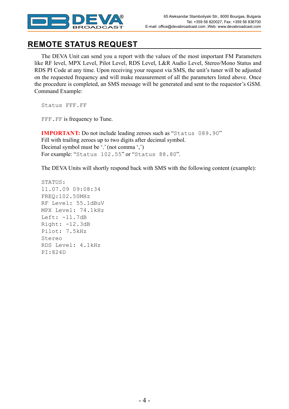

#### **REMOTE STATUS REQUEST**

The DEVA Unit can send you a report with the values of the most important FM Parameters like RF level, MPX Level, Pilot Level, RDS Level, L&R Audio Level, Stereo/Mono Status and RDS PI Code at any time. Upon receiving your request via SMS, the unit's tuner will be adjusted on the requested frequency and will make measurement of all the parameters listed above. Once the procedure is completed, an SMS message will be generated and sent to the requestor's GSM. Command Example:

Status FFF.FF

FFF.FF is frequency to Tune.

**IMPORTANT:** Do not include leading zeroes such as "Status 089.90" Fill with trailing zeroes up to two digits after decimal symbol. Decimal symbol must be '.' (not comma ',') For example: "Status 102.55" or "Status 88.80".

The DEVA Units will shortly respond back with SMS with the following content (example):

STATUS: 11.07.09 09:08:34 FREQ:102.50MHz RF Level: 55.1dBuV MPX Level: 74.1kHz Left: -11.7dB Right: -12.3dB Pilot: 7.5kHz Stereo RDS Level: 4.1kHz PI:824D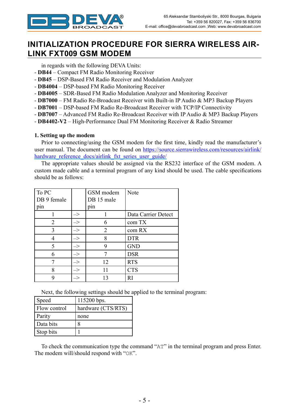

### **INITIALIZATION PROCEDURE FOR SIERRA WIRELESS AIR-LINK FXT009 GSM MODEM**

in regards with the following DEVA Units:

- **DB44** Compact FM Radio Monitoring Receiver
- **DB45** DSP-Based FM Radio Receiver and Modulation Analyzer
- **DB4004** DSP-based FM Radio Monitoring Receiver
- **DB4005** SDR-Based FM Radio Modulation Analyzer and Monitoring Receiver
- **DB7000** FM Radio Re-Broadcast Receiver with Built-in IP Audio & MP3 Backup Players
- **DB7001** DSP-based FM Radio Re-Broadcast Receiver with TCP/IP Connectivity
- **DB7007** Advanced FM Radio Re-Broadcast Receiver with IP Audio & MP3 Backup Players
- **DB4402-V2** High-Performance Dual FM Monitoring Receiver & Radio Streamer

#### **1. Setting up the modem**

Prior to connecting/using the GSM modem for the first time, kindly read the manufacturer's user manual. The document can be found on https://source.sierrawireless.com/resources/airlink/ hardware reference docs/airlink fxt series user guide/

The appropriate values should be assigned via the RS232 interface of the GSM modem. A custom made cable and a terminal program of any kind should be used. The cable specifications should be as follows:

| To PC<br>DB 9 female |                            | GSM modem<br>DB 15 male | Note                |
|----------------------|----------------------------|-------------------------|---------------------|
| pin                  |                            | pin                     |                     |
|                      | $\boldsymbol{\rightarrow}$ |                         | Data Carrier Detect |
| 2                    | $\rightarrow$              | 6                       | com TX              |
| 3                    | $\Rightarrow$              | 2                       | com RX              |
| 4                    | $\Rightarrow$              | 8                       | <b>DTR</b>          |
| 5                    | $\Rightarrow$              | 9                       | <b>GND</b>          |
| 6                    | $\Rightarrow$              |                         | <b>DSR</b>          |
|                      | $\Rightarrow$              | 12                      | <b>RTS</b>          |
| 8                    | $\boldsymbol{\rightarrow}$ | 11                      | <b>CTS</b>          |
| q                    |                            | 13                      | RI                  |

Next, the following settings should be applied to the terminal program:

| Speed        | 115200 bps.        |
|--------------|--------------------|
| Flow control | hardware (CTS/RTS) |
| Parity       | none               |
| Data bits    | 8                  |
| Stop bits    |                    |

To check the communication type the command "AT" in the terminal program and press Enter. The modem will/should respond with "OK".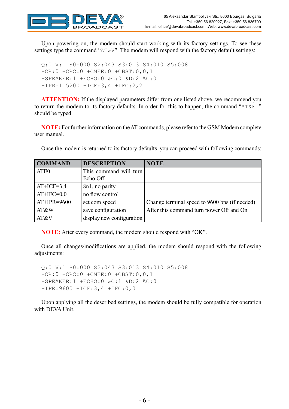

Upon powering on, the modem should start working with its factory settings. To see these settings type the command "AT&V". The modem will respond with the factory default settings:

```
Q:0 V:1 S0:000 S2:043 S3:013 S4:010 S5:008
+CR:0 +CRC:0 +CMEE:0 +CBST:0,0,1
+SPEAKER:1 +ECHO:0 &C:0 &D:2 %C:0
+IPR:115200 +ICF:3,4 +IFC:2,2
```
**ATTENTION:** If the displayed parameters differ from one listed above, we recommend you to return the modem to its factory defaults. In order for this to happen, the command "AT&F1" should be typed.

**NOTE:** For further information on the AT commands, please refer to the GSM Modem complete user manual.

**COMMAND DESCRIPTION NOTE** ATE0 This command will turn Echo Off AT+ICF=3,4  $| 8n1$ , no parity  $AT+IFC=0,0$  no flow control  $AT+IPR=9600$  set com speed Change terminal speed to 9600 bps (if needed) AT&W save configuration After this command turn power Off and On AT&V display new configuration

Once the modem is returned to its factory defaults, you can proceed with following commands:

**NOTE:** After every command, the modem should respond with "OK".

Once all changes/modifications are applied, the modem should respond with the following adjustments:

Q:0 V:1 S0:000 S2:043 S3:013 S4:010 S5:008 +CR:0 +CRC:0 +CMEE:0 +CBST:0,0,1 +SPEAKER:1 +ECHO:0 &C:1 &D:2 %C:0 +IPR:9600 +ICF:3,4 +IFC:0,0

Upon applying all the described settings, the modem should be fully compatible for operation with DEVA Unit.